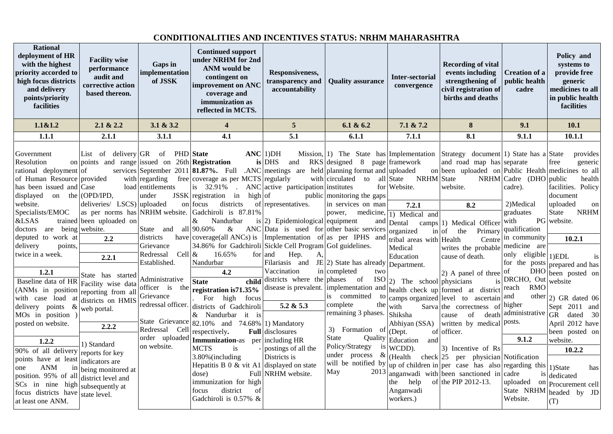## **CONDITIONALITIES AND INCENTIVES STATUS: NRHM MAHARASHTRA**

| <b>Rational</b><br>deployment of HR<br>with the highest<br>priority accorded to<br>high focus districts<br>and delivery<br>points/priority<br>facilities | <b>Facility wise</b><br>performance<br>audit and<br>corrective action<br>based thereon.                    | Gaps in<br>implementation<br>of JSSK                                                    | <b>Continued support</b><br>under NRHM for 2nd<br><b>ANM</b> would be<br>contingent on<br>improvement on ANC<br>coverage and<br>immunization as<br>reflected in MCTS.                                              | Responsiveness,<br>transparency and<br>accountability                                                | <b>Ouality assurance</b>                                                                                                     | <b>Inter-sectorial</b><br>convergence                                  | <b>Recording of vital</b><br>events including<br>strengthening of<br>civil registration of<br>births and deaths                                                 | <b>Creation of a</b><br>public health<br>cadre                                            | Policy and<br>systems to<br>provide free<br>generic<br>medicines to all<br>in public health<br>facilities |
|----------------------------------------------------------------------------------------------------------------------------------------------------------|------------------------------------------------------------------------------------------------------------|-----------------------------------------------------------------------------------------|--------------------------------------------------------------------------------------------------------------------------------------------------------------------------------------------------------------------|------------------------------------------------------------------------------------------------------|------------------------------------------------------------------------------------------------------------------------------|------------------------------------------------------------------------|-----------------------------------------------------------------------------------------------------------------------------------------------------------------|-------------------------------------------------------------------------------------------|-----------------------------------------------------------------------------------------------------------|
| 1.1 & 1.2                                                                                                                                                | 2.1 & 2.2                                                                                                  | 3.1 & 3.2                                                                               | $\overline{\mathbf{4}}$                                                                                                                                                                                            | $5\overline{5}$                                                                                      | 6.1 & 6.2                                                                                                                    | 7.1 & 7.2                                                              | 8                                                                                                                                                               | 9.1                                                                                       | 10.1                                                                                                      |
| 1.1.1                                                                                                                                                    | 2.1.1                                                                                                      | 3.1.1                                                                                   | 4.1                                                                                                                                                                                                                | $\overline{5.1}$                                                                                     | 6.1.1                                                                                                                        | 7.1.1                                                                  | 8.1                                                                                                                                                             | 9.1.1                                                                                     | 10.1.1                                                                                                    |
| Government<br>Resolution<br>rational deployment of<br>of Human Resource provided<br>has been issued and Case<br>displayed                                | List of delivery GR of<br>on points and range issued on $26th$ <b>Registration</b><br>on the $(OPD/IPD)$ , | <b>PHD</b> State<br>with regarding<br>load entitlements<br>under                        | $\textbf{ANC}$ [1) DH<br>services September 2011 <b>81.87%.</b> Full .ANC meetings are held planning format and uploaded<br>free coverage as per MCTS regularly<br>is 32.91%<br>JSSK registration<br>in<br>high of | is DHS<br>and<br>ANC active participation institutes                                                 | Mission, $ 1\rangle$ The State has Implementation<br>$RKS$ designed 8<br>with circulated<br>to<br>public monitoring the gaps | page framework<br>NRHM State<br>all State<br>for Website.              | Strategy document 1) State has a State<br>and road map has separate<br>on been uploaded on Public Health medicines to all<br>website.                           | $NRHM$ Cadre (DHO public<br>cadre).                                                       | provides<br>generic<br>free<br>health<br>facilities. Policy<br>document                                   |
| website.<br>Specialists/EMOC<br>&LSAS<br>doctors are being website.                                                                                      | deliveries/ LSCS) uploaded<br>as per norms has NRHM website.<br>trained been uploaded on                   | State and                                                                               | on focus<br>districts<br>Gadchiroli is 87.81%<br>&<br>Nandurbar<br>all 90.60%<br>$\&$                                                                                                                              | of representatives.<br>is (2) Epidemiological equipment<br>ANC Data is used for other basic services | in services on man<br>power, medicine,<br>and                                                                                | 7.2.1<br>1) Medical and<br>Dental<br>organized                         | 8.2<br>camps 1) Medical Officer<br>$\frac{1}{2}$ in $\frac{1}{2}$<br>Primary<br>the                                                                             | 2)Medical<br>graduates<br>with<br>qualification                                           | uploaded<br>on<br>State<br><b>NRHM</b><br>PG website.                                                     |
| deputed to work at                                                                                                                                       | 2.2                                                                                                        | districts                                                                               | have $coverage(all ANCs)$ is                                                                                                                                                                                       | Implementation of as per IPHS and                                                                    |                                                                                                                              | tribal areas with Health                                               | Centre                                                                                                                                                          | in community                                                                              | 10.2.1                                                                                                    |
| delivery<br>points,<br>twice in a week.<br>1.2.1<br>Baseline data of HR Facility wise data<br>(ANMs in position                                          | 2.2.1<br>State has started                                                                                 | Grievance<br>Cell $\&$<br>Redressal<br>Established.<br>Administrative<br>officer is the | 34.86% for Gadchiroli Sickle Cell Program GoI guidelines.<br>16.65%<br>Nandurbar<br>4.2<br>child<br><b>State</b><br>registration is 71.35%                                                                         | for and<br>Hep.<br>A,<br>Filariasis and<br>Vaccination<br>districts where the phases of              | JE (2) State has already Department.<br>in completed<br>two<br>ISO<br>disease is prevalent. implementation and               | Medical<br>Education<br>2) The school physicians                       | writes the probable<br>cause of death.<br>(2) A panel of three<br>is<br>health check up formed at district                                                      | medicine are<br>only eligible<br>for the posts<br>of<br>DRCHO, Out<br><b>RMO</b><br>reach | 1) EDL<br>is<br>prepared and has<br>DHO been posted on<br>website                                         |
| with case load at<br>delivery points &<br>MOs in position)<br>posted on website.<br>1.2.2                                                                | reporting from all<br>districts on HMIS<br>web portal.<br>2.2.2<br>1) Standard                             | Grievance<br>redressal officer.<br>Redressal Cell<br>order uploaded                     | For high<br>focus<br>districts of Gadchiroli<br>& Nandurbar it is<br>State Grievance $ 82.10\%$ and 74.68%   1) Mandatory<br>respectively.<br>Immunization-as per including HR                                     | 5.2 & 5.3<br>Full disclosures                                                                        | is committed<br>to<br>complete<br>the<br>remaining 3 phases.<br>3) Formation of<br>State                                     | with<br>Shiksha<br>Abhiyan (SSA)<br>(Dept.<br>Quality Education<br>and | camps organized level to ascertain<br>Sarva the correctness of higher<br>death<br>of<br>cause<br>written by medical posts.<br>of officer.                       | and<br>administrative<br>9.1.2                                                            | other $ 2)$ GR dated 06<br>Sept 2011 and<br>GR dated 30<br>April 2012 have<br>been posted on<br>website.  |
| 90% of all delivery                                                                                                                                      | reports for key                                                                                            | on website.                                                                             | MCTS<br>is                                                                                                                                                                                                         | postings of all the                                                                                  | Policy/Strategy<br>is<br>under process &                                                                                     | WCDD).                                                                 | 3) Incentive of Rs                                                                                                                                              |                                                                                           | 10.2.2                                                                                                    |
| points have at least<br><b>ANM</b><br>one<br>in<br>position. 95% of all<br>SCs in nine high<br>focus districts have<br>at least one ANM.                 | indicators are<br>being monitored at<br>district level and<br>subsequently at<br>state level.              |                                                                                         | 3.80% (including<br>Hepatitis B $0 \&$ vit A1 displayed on state<br>dose)<br>immunization for high<br>district<br>focus<br>of<br>Gadchiroli is 0.57% &                                                             | Districts is<br>Full NRHM website.                                                                   | will be notified by<br>May<br>2013                                                                                           | (Health<br>help<br>the<br>Anganwadi<br>workers.)                       | $check$ 25 per physician Notification<br>up of children in $per$ case has also regarding this<br>anganwadi with been sanctioned in cadre<br>of the PIP 2012-13. | uploaded<br>State NRHM<br>Website.                                                        | 1)State<br>has<br><sup>is</sup> dedicated<br>on Procurement cell<br>headed by JD<br>(T)                   |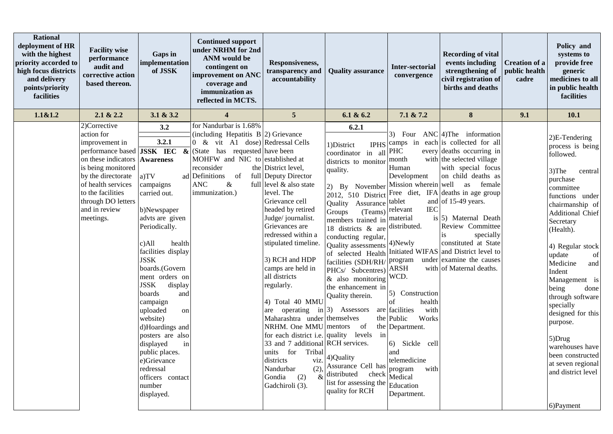| <b>Rational</b><br>deployment of HR<br>with the highest<br>priority accorded to<br>high focus districts<br>and delivery<br>points/priority<br>facilities | <b>Facility wise</b><br>performance<br>audit and<br>corrective action<br>based thereon.                                                                                                                                                                              | Gaps in<br>implementation<br>of JSSK                                                                                                                                                                                                                                                                                                                                                                                                                          | <b>Continued support</b><br>under NRHM for 2nd<br><b>ANM</b> would be<br>contingent on<br>improvement on ANC<br>coverage and<br>immunization as<br>reflected in MCTS.                                                                               | Responsiveness,<br>transparency and<br>accountability                                                                                                                                                                                                                                                                                                                                                                                                                                                                                                              | <b>Quality assurance</b>                                                                                                                                                                                                                                                                                                                                                                                                                                                                                                                                                           | <b>Inter-sectorial</b><br>convergence                                                                                                                                                                                                                                                                                                       | <b>Recording of vital</b><br>events including<br>strengthening of<br>civil registration of<br>births and deaths                                                                                                                                                                                                                                                                                                                                                | <b>Creation of a</b><br>public health<br>cadre | Policy and<br>systems to<br>provide free<br>generic<br>medicines to all<br>in public health<br>facilities                                                                                                                                                                                                                                                                                                                                                         |
|----------------------------------------------------------------------------------------------------------------------------------------------------------|----------------------------------------------------------------------------------------------------------------------------------------------------------------------------------------------------------------------------------------------------------------------|---------------------------------------------------------------------------------------------------------------------------------------------------------------------------------------------------------------------------------------------------------------------------------------------------------------------------------------------------------------------------------------------------------------------------------------------------------------|-----------------------------------------------------------------------------------------------------------------------------------------------------------------------------------------------------------------------------------------------------|--------------------------------------------------------------------------------------------------------------------------------------------------------------------------------------------------------------------------------------------------------------------------------------------------------------------------------------------------------------------------------------------------------------------------------------------------------------------------------------------------------------------------------------------------------------------|------------------------------------------------------------------------------------------------------------------------------------------------------------------------------------------------------------------------------------------------------------------------------------------------------------------------------------------------------------------------------------------------------------------------------------------------------------------------------------------------------------------------------------------------------------------------------------|---------------------------------------------------------------------------------------------------------------------------------------------------------------------------------------------------------------------------------------------------------------------------------------------------------------------------------------------|----------------------------------------------------------------------------------------------------------------------------------------------------------------------------------------------------------------------------------------------------------------------------------------------------------------------------------------------------------------------------------------------------------------------------------------------------------------|------------------------------------------------|-------------------------------------------------------------------------------------------------------------------------------------------------------------------------------------------------------------------------------------------------------------------------------------------------------------------------------------------------------------------------------------------------------------------------------------------------------------------|
| 1.1&1.2                                                                                                                                                  | 2.1 & 2.2                                                                                                                                                                                                                                                            | 3.1 & 3.2                                                                                                                                                                                                                                                                                                                                                                                                                                                     | $\overline{\mathbf{4}}$                                                                                                                                                                                                                             | $5\overline{)}$                                                                                                                                                                                                                                                                                                                                                                                                                                                                                                                                                    | 6.1 & 6.2                                                                                                                                                                                                                                                                                                                                                                                                                                                                                                                                                                          | 7.1 & 7.2                                                                                                                                                                                                                                                                                                                                   | $\bf 8$                                                                                                                                                                                                                                                                                                                                                                                                                                                        | 9.1                                            | 10.1                                                                                                                                                                                                                                                                                                                                                                                                                                                              |
|                                                                                                                                                          | 2)Corrective<br>action for<br>improvement in<br>performance based $\overline{\textbf{JSSK}}$ IEC &<br>on these indicators<br>is being monitored<br>by the directorate<br>of health services<br>to the facilities<br>through DO letters<br>and in review<br>meetings. | 3.2<br>3.2.1<br><b>Awareness</b><br>a)TV<br>campaigns<br>carried out.<br>b)Newspaper<br>advts are given<br>Periodically.<br>c)All<br>health<br>facilities display<br><b>JSSK</b><br>boards.(Govern<br>ment orders on<br><b>JSSK</b><br>display<br>boards<br>and<br>campaign<br>uploaded<br>on<br>website)<br>d)Hoardings and<br>posters are also<br>displayed<br>in<br>public places.<br>e)Grievance<br>redressal<br>officers contact<br>number<br>displayed. | for Nandurbar is 1.68%<br>(including Hepatitis $B(2)$ Grievance<br>0 & vit A1 dose) Redressal Cells<br>(State has requested have been<br>MOHFW and NIC to established at<br>reconsider<br>ad Definitions of<br><b>ANC</b><br>$\&$<br>immunization.) | the District level,<br>full Deputy Director<br>full level & also state<br>level. The<br>Grievance cell<br>headed by retired<br>Judge/journalist.<br>Grievances are<br>redressed within a<br>stipulated timeline.<br>3) RCH and HDP<br>camps are held in<br>all districts<br>regularly.<br>4) Total 40 MMU<br>operating in $ 3\rangle$ Assessors<br>are<br>Maharashtra under themselves<br>NRHM. One $MMU$ mentors<br>33 and 7 additional RCH services.<br>units for<br>Tribal<br>districts<br>viz.<br>(2)<br>Nandurbar<br>(2)<br>$\&$<br>Gondia<br>Gadchiroli (3). | 6.2.1<br>1) District<br>coordinator in all<br>districts to monitor<br>quality.<br>2) By November<br>2012, 510 District<br>Quality Assurance<br>(Teams)<br>Groups<br>members trained in<br>18 districts $\&$ are distributed.<br>conducting regular,<br>Quality assessments 4)Newly<br>of selected Health<br>facilities (SDH/RH/<br>PHCs/ Subcentres) ARSH<br>& also monitoring<br>the enhancement in<br>Quality therein.<br>of<br>for each district i.e. quality levels in<br>4)Quality<br>Assurance Cell has<br>distributed<br>check<br>list for assessing the<br>quality for RCH | <b>PHC</b><br>month<br>Human<br>Development<br>tablet<br><b>IEC</b><br>relevant<br>material<br>Initiated WIFAS<br>program<br>WCD.<br>5) Construction<br>health<br>of<br>are facilities<br>with<br>Works<br>the Public<br>the Department.<br>6) Sickle cell<br>and<br>telemedicine<br>program<br>with<br>Medical<br>Education<br>Department. | 3) Four $ANC 4)$ The information<br>IPHS camps in each is collected for all<br>every deaths occurring in<br>with the selected village<br>with special focus<br>on child deaths as<br>Mission wherein well as female<br>Free diet, IFA deaths in age group<br>and of $15-49$ years.<br>is $ 5)$ Maternal Death<br>Review Committee<br>specially<br>is.<br>constituted at State<br>and District level to<br>under examine the causes<br>with of Maternal deaths. |                                                | 2)E-Tendering<br>process is being<br>followed.<br>$3)$ The<br>central<br>purchase<br>committee<br>functions under<br>chairmanship of<br>Additional Chief<br>Secretary<br>(Health).<br>4) Regular stock<br>update<br>of<br>Medicine<br>and<br>Indent<br>Management is<br>being<br>done<br>through software<br>specially<br>designed for this<br>purpose.<br>5)Drug<br>warehouses have<br>been constructed<br>at seven regional<br>and district level<br>6) Payment |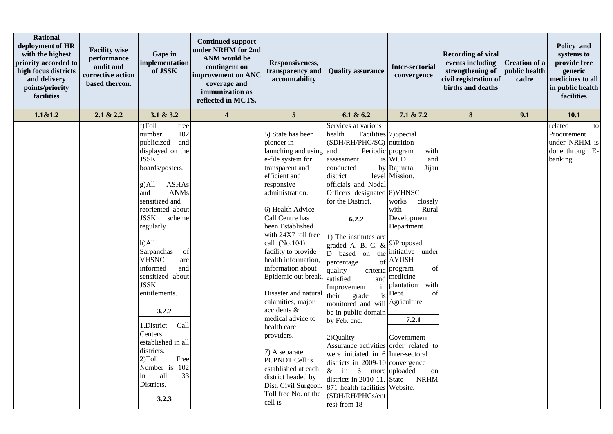| <b>Rational</b><br>deployment of HR<br>with the highest<br>priority accorded to<br>high focus districts<br>and delivery<br>points/priority<br>facilities | <b>Facility wise</b><br>performance<br>audit and<br>corrective action<br>based thereon. | Gaps in<br>implementation<br>of JSSK                                                                                                                                                                                                                                                                                                                                                                                                                                                                                        | <b>Continued support</b><br>under NRHM for 2nd<br><b>ANM</b> would be<br>contingent on<br>improvement on ANC<br>coverage and<br>immunization as<br>reflected in MCTS. | Responsiveness,<br>transparency and<br>accountability                                                                                                                                                                                                                                                                                                                                                                                                                                                                                                                                       | <b>Quality assurance</b>                                                                                                                                                                                                                                                                                                                                                                                                                                                                                                                                                                                                                                                             | <b>Inter-sectorial</b><br>convergence                                                                                                                                                                                                                                                                                                      | <b>Recording of vital</b><br>events including<br>strengthening of<br>civil registration of<br>births and deaths | <b>Creation of a</b><br>public health<br>cadre | Policy and<br>systems to<br>provide free<br>generic<br>medicines to all<br>in public health<br>facilities |
|----------------------------------------------------------------------------------------------------------------------------------------------------------|-----------------------------------------------------------------------------------------|-----------------------------------------------------------------------------------------------------------------------------------------------------------------------------------------------------------------------------------------------------------------------------------------------------------------------------------------------------------------------------------------------------------------------------------------------------------------------------------------------------------------------------|-----------------------------------------------------------------------------------------------------------------------------------------------------------------------|---------------------------------------------------------------------------------------------------------------------------------------------------------------------------------------------------------------------------------------------------------------------------------------------------------------------------------------------------------------------------------------------------------------------------------------------------------------------------------------------------------------------------------------------------------------------------------------------|--------------------------------------------------------------------------------------------------------------------------------------------------------------------------------------------------------------------------------------------------------------------------------------------------------------------------------------------------------------------------------------------------------------------------------------------------------------------------------------------------------------------------------------------------------------------------------------------------------------------------------------------------------------------------------------|--------------------------------------------------------------------------------------------------------------------------------------------------------------------------------------------------------------------------------------------------------------------------------------------------------------------------------------------|-----------------------------------------------------------------------------------------------------------------|------------------------------------------------|-----------------------------------------------------------------------------------------------------------|
| 1.1&1.2                                                                                                                                                  | 2.1 & 2.2                                                                               | 3.1 & 3.2                                                                                                                                                                                                                                                                                                                                                                                                                                                                                                                   | $\overline{\mathbf{4}}$                                                                                                                                               | 5                                                                                                                                                                                                                                                                                                                                                                                                                                                                                                                                                                                           | 6.1 & 6.2                                                                                                                                                                                                                                                                                                                                                                                                                                                                                                                                                                                                                                                                            | 7.1 & 7.2                                                                                                                                                                                                                                                                                                                                  | $\pmb{8}$                                                                                                       | 9.1                                            | 10.1                                                                                                      |
|                                                                                                                                                          |                                                                                         | f)Toll<br>free<br>102<br>number<br>publicized<br>and<br>displayed on the<br><b>JSSK</b><br>boards/posters.<br><b>ASHAs</b><br>g)All<br><b>ANMs</b><br>and<br>sensitized and<br>reoriented about<br>JSSK<br>scheme<br>regularly.<br>h)All<br>Sarpanchas<br>of<br><b>VHSNC</b><br>are<br>informed<br>and<br>sensitized about<br><b>JSSK</b><br>entitlements.<br>3.2.2<br>Call<br>1.District<br>Centers<br>established in all<br>districts.<br>Free<br>$2)$ Toll<br>Number is<br>102<br>33<br>all<br>in<br>Districts.<br>3.2.3 |                                                                                                                                                                       | 5) State has been<br>pioneer in<br>launching and using<br>e-file system for<br>transparent and<br>efficient and<br>responsive<br>administration.<br>6) Health Advice<br>Call Centre has<br>been Established<br>with 24X7 toll free<br>call (No.104)<br>facility to provide<br>health information,<br>information about<br>Epidemic out break,<br>Disaster and natural<br>calamities, major<br>accidents &<br>medical advice to<br>health care<br>providers.<br>7) A separate<br>PCPNDT Cell is<br>established at each<br>district headed by<br>Dist. Civil Surgeon.<br>Toll free No. of the | Services at various<br>health<br>(SDH/RH/PHC/SC) nutrition<br>and<br>assessment<br>conducted<br>district<br>officials and Nodal<br>Officers designated 8) VHNSC<br>for the District.<br>6.2.2<br>1) The institutes are<br>graded A. B. C. &<br>D based on the initiative under<br>percentage<br>quality<br>satisfied<br>Improvement<br>their<br>grade<br>monitored and will Agriculture<br>be in public domain<br>by Feb. end.<br>2)Quality<br>Assurance activities order related to<br>were initiated in 6 Inter-sectoral<br>districts in 2009-10 convergence<br>6 more uploaded<br>$\&$ in<br>districts in $2010-11$ . State<br>871 health facilities Website.<br>(SDH/RH/PHCs/ent | Facilities 7)Special<br>Periodic program<br>with<br>is WCD<br>and<br>by Rajmata<br>Jijau<br>level Mission.<br>works<br>closely<br>Rural<br>with<br>Development<br>Department.<br>9)Proposed<br>$of$ AYUSH<br>criteria program<br>of<br>and medicine<br>in plantation<br>with<br>is Dept.<br>of<br>7.2.1<br>Government<br>on<br><b>NRHM</b> |                                                                                                                 |                                                | related<br>to<br>Procurement<br>under NRHM is<br>done through E-<br>banking.                              |
|                                                                                                                                                          |                                                                                         |                                                                                                                                                                                                                                                                                                                                                                                                                                                                                                                             |                                                                                                                                                                       | cell is                                                                                                                                                                                                                                                                                                                                                                                                                                                                                                                                                                                     | res) from 18                                                                                                                                                                                                                                                                                                                                                                                                                                                                                                                                                                                                                                                                         |                                                                                                                                                                                                                                                                                                                                            |                                                                                                                 |                                                |                                                                                                           |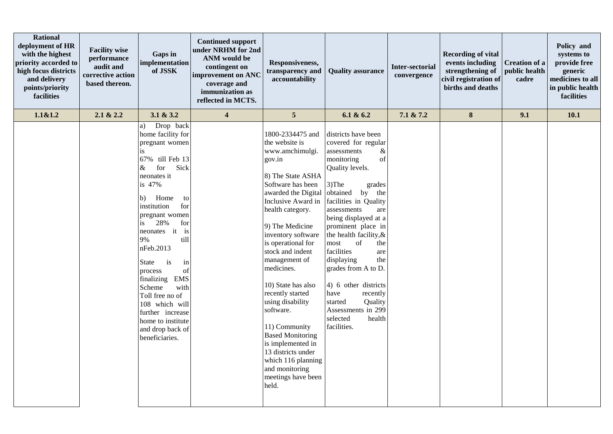| <b>Rational</b><br>deployment of HR<br>with the highest<br>priority accorded to<br>high focus districts<br>and delivery<br>points/priority<br>facilities | <b>Facility wise</b><br>performance<br>audit and<br>corrective action<br>based thereon. | Gaps in<br>implementation<br>of JSSK                                                                                                                                                                                                                                                                                                                                                                                                                                  | <b>Continued support</b><br>under NRHM for 2nd<br><b>ANM</b> would be<br>contingent on<br>improvement on ANC<br>coverage and<br>immunization as<br>reflected in MCTS. | Responsiveness,<br>transparency and<br>accountability                                                                                                                                                                                                                                                                                                                                                                                                                                                                                 | <b>Quality assurance</b>                                                                                                                                                                                                                                                                                                                                                                                                                                                                    | Inter-sectorial<br>convergence | <b>Recording of vital</b><br>events including<br>strengthening of<br>civil registration of<br>births and deaths | Creation of a<br>public health<br>cadre | Policy and<br>systems to<br>provide free<br>generic<br>medicines to all<br>in public health<br>facilities |
|----------------------------------------------------------------------------------------------------------------------------------------------------------|-----------------------------------------------------------------------------------------|-----------------------------------------------------------------------------------------------------------------------------------------------------------------------------------------------------------------------------------------------------------------------------------------------------------------------------------------------------------------------------------------------------------------------------------------------------------------------|-----------------------------------------------------------------------------------------------------------------------------------------------------------------------|---------------------------------------------------------------------------------------------------------------------------------------------------------------------------------------------------------------------------------------------------------------------------------------------------------------------------------------------------------------------------------------------------------------------------------------------------------------------------------------------------------------------------------------|---------------------------------------------------------------------------------------------------------------------------------------------------------------------------------------------------------------------------------------------------------------------------------------------------------------------------------------------------------------------------------------------------------------------------------------------------------------------------------------------|--------------------------------|-----------------------------------------------------------------------------------------------------------------|-----------------------------------------|-----------------------------------------------------------------------------------------------------------|
| 1.1&1.2                                                                                                                                                  | 2.1 & 2.2                                                                               | 3.1 & 3.2                                                                                                                                                                                                                                                                                                                                                                                                                                                             | $\overline{\mathbf{4}}$                                                                                                                                               | $5\phantom{.0}$                                                                                                                                                                                                                                                                                                                                                                                                                                                                                                                       | 6.1 & 6.2                                                                                                                                                                                                                                                                                                                                                                                                                                                                                   | 7.1 & 7.2                      | $\bf 8$                                                                                                         | 9.1                                     | 10.1                                                                                                      |
|                                                                                                                                                          |                                                                                         | Drop back<br>a)<br>home facility for<br>pregnant women<br>is.<br>67% till Feb 13<br>for<br>Sick<br>&<br>neonates it<br>is 47%<br>Home<br>b)<br>to<br>institution<br>for<br>pregnant women<br>28%<br>for<br>is<br>neonates it<br>is<br>till<br>9%<br>nFeb.2013<br>is<br>in<br>State<br>of<br>process<br>finalizing<br><b>EMS</b><br>Scheme<br>with<br>Toll free no of<br>108 which will<br>further increase<br>home to institute<br>and drop back of<br>beneficiaries. |                                                                                                                                                                       | 1800-2334475 and<br>the website is<br>www.amchimulgi.<br>gov.in<br>8) The State ASHA<br>Software has been<br>awarded the Digital<br>Inclusive Award in<br>health category.<br>9) The Medicine<br>inventory software<br>is operational for<br>stock and indent<br>management of<br>medicines.<br>10) State has also<br>recently started<br>using disability<br>software.<br>11) Community<br><b>Based Monitoring</b><br>is implemented in<br>13 districts under<br>which 116 planning<br>and monitoring<br>meetings have been<br>held. | districts have been<br>covered for regular<br>assessments<br>$\&$<br>of<br>monitoring<br>Quality levels.<br>3)The<br>grades<br>obtained<br>by the<br>facilities in Quality<br>assessments<br>are<br>being displayed at a<br>prominent place in<br>the health facility, &<br>most<br>of<br>the<br>facilities<br>are<br>displaying<br>the<br>grades from A to D.<br>4) 6 other districts<br>have<br>recently<br>started<br>Quality<br>Assessments in 299<br>selected<br>health<br>facilities. |                                |                                                                                                                 |                                         |                                                                                                           |